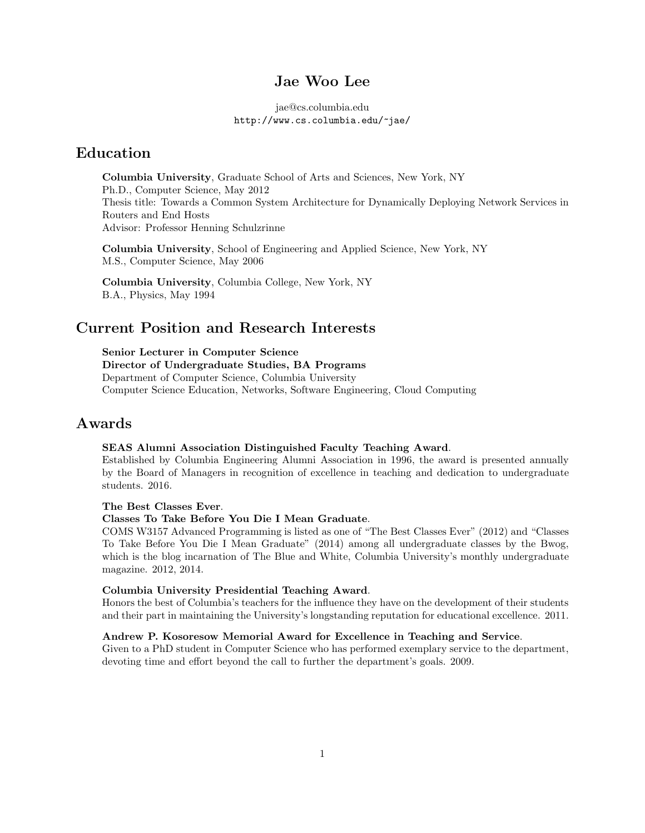## Jae Woo Lee

jae@cs.columbia.edu http://www.cs.columbia.edu/~jae/

## Education

Columbia University, Graduate School of Arts and Sciences, New York, NY Ph.D., Computer Science, May 2012 Thesis title: Towards a Common System Architecture for Dynamically Deploying Network Services in Routers and End Hosts Advisor: Professor Henning Schulzrinne

Columbia University, School of Engineering and Applied Science, New York, NY M.S., Computer Science, May 2006

Columbia University, Columbia College, New York, NY B.A., Physics, May 1994

## Current Position and Research Interests

Senior Lecturer in Computer Science

Director of Undergraduate Studies, BA Programs Department of Computer Science, Columbia University Computer Science Education, Networks, Software Engineering, Cloud Computing

## Awards

#### SEAS Alumni Association Distinguished Faculty Teaching Award.

Established by Columbia Engineering Alumni Association in 1996, the award is presented annually by the Board of Managers in recognition of excellence in teaching and dedication to undergraduate students. 2016.

The Best Classes Ever.

#### Classes To Take Before You Die I Mean Graduate.

COMS W3157 Advanced Programming is listed as one of "The Best Classes Ever" (2012) and "Classes To Take Before You Die I Mean Graduate" (2014) among all undergraduate classes by the Bwog, which is the blog incarnation of The Blue and White, Columbia University's monthly undergraduate magazine. 2012, 2014.

#### Columbia University Presidential Teaching Award.

Honors the best of Columbia's teachers for the influence they have on the development of their students and their part in maintaining the University's longstanding reputation for educational excellence. 2011.

### Andrew P. Kosoresow Memorial Award for Excellence in Teaching and Service.

Given to a PhD student in Computer Science who has performed exemplary service to the department, devoting time and effort beyond the call to further the department's goals. 2009.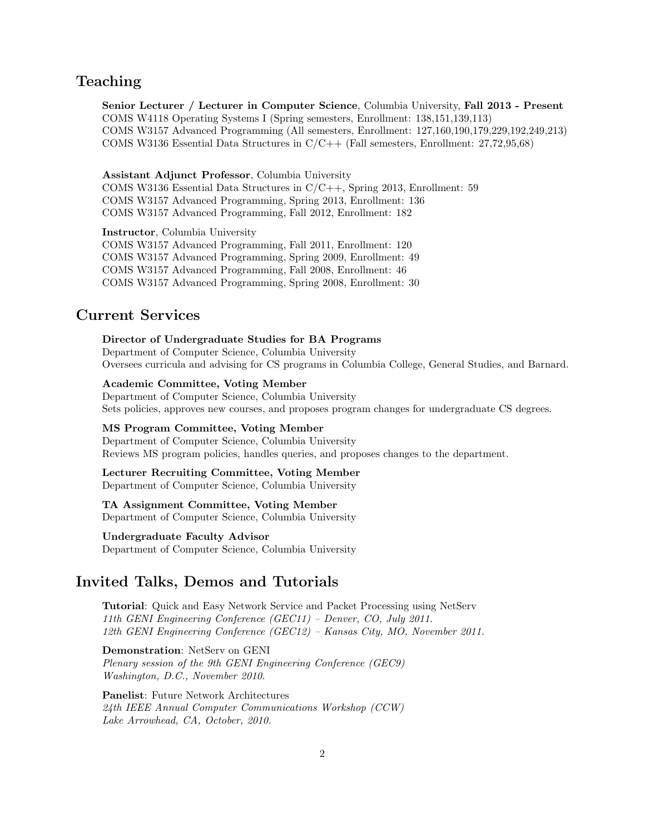# Teaching

Senior Lecturer / Lecturer in Computer Science, Columbia University, Fall 2013 - Present COMS W4118 Operating Systems I (Spring semesters, Enrollment: 138,151,139,113) COMS W3157 Advanced Programming (All semesters, Enrollment: 127,160,190,179,229,192,249,213) COMS W3136 Essential Data Structures in C/C++ (Fall semesters, Enrollment: 27,72,95,68)

Assistant Adjunct Professor, Columbia University COMS W3136 Essential Data Structures in C/C++, Spring 2013, Enrollment: 59 COMS W3157 Advanced Programming, Spring 2013, Enrollment: 136 COMS W3157 Advanced Programming, Fall 2012, Enrollment: 182

Instructor, Columbia University COMS W3157 Advanced Programming, Fall 2011, Enrollment: 120 COMS W3157 Advanced Programming, Spring 2009, Enrollment: 49 COMS W3157 Advanced Programming, Fall 2008, Enrollment: 46 COMS W3157 Advanced Programming, Spring 2008, Enrollment: 30

### Current Services

Director of Undergraduate Studies for BA Programs Department of Computer Science, Columbia University Oversees curricula and advising for CS programs in Columbia College, General Studies, and Barnard.

Academic Committee, Voting Member Department of Computer Science, Columbia University

Sets policies, approves new courses, and proposes program changes for undergraduate CS degrees.

### MS Program Committee, Voting Member

Department of Computer Science, Columbia University Reviews MS program policies, handles queries, and proposes changes to the department.

Lecturer Recruiting Committee, Voting Member Department of Computer Science, Columbia University

TA Assignment Committee, Voting Member

Department of Computer Science, Columbia University

Undergraduate Faculty Advisor Department of Computer Science, Columbia University

## Invited Talks, Demos and Tutorials

Tutorial: Quick and Easy Network Service and Packet Processing using NetServ 11th GENI Engineering Conference (GEC11) – Denver, CO, July 2011. 12th GENI Engineering Conference (GEC12) – Kansas City, MO, November 2011.

Demonstration: NetServ on GENI

Plenary session of the 9th GENI Engineering Conference (GEC9) Washington, D.C., November 2010.

Panelist: Future Network Architectures 24th IEEE Annual Computer Communications Workshop (CCW) Lake Arrowhead, CA, October, 2010.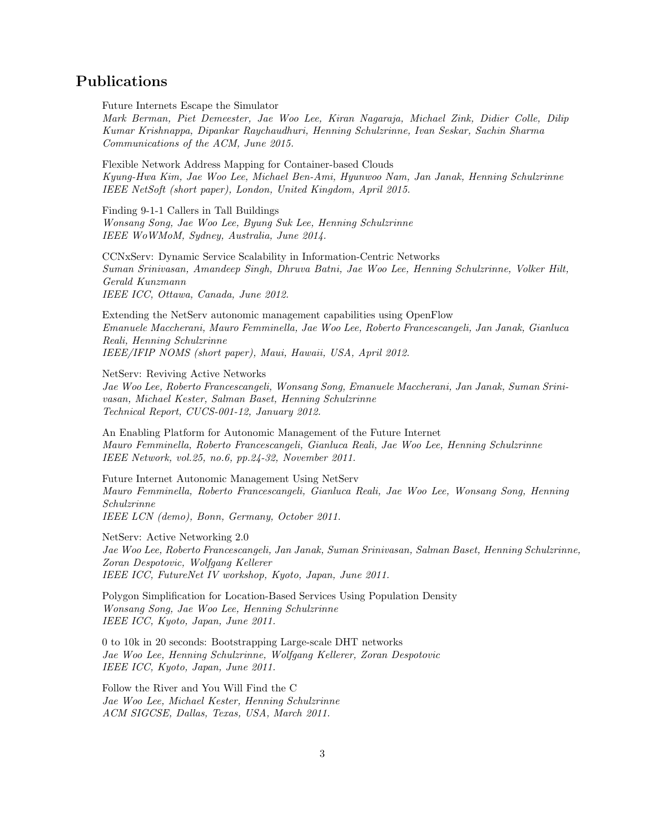# Publications

Future Internets Escape the Simulator

Mark Berman, Piet Demeester, Jae Woo Lee, Kiran Nagaraja, Michael Zink, Didier Colle, Dilip Kumar Krishnappa, Dipankar Raychaudhuri, Henning Schulzrinne, Ivan Seskar, Sachin Sharma Communications of the ACM, June 2015.

Flexible Network Address Mapping for Container-based Clouds Kyung-Hwa Kim, Jae Woo Lee, Michael Ben-Ami, Hyunwoo Nam, Jan Janak, Henning Schulzrinne IEEE NetSoft (short paper), London, United Kingdom, April 2015.

Finding 9-1-1 Callers in Tall Buildings Wonsang Song, Jae Woo Lee, Byung Suk Lee, Henning Schulzrinne IEEE WoWMoM, Sydney, Australia, June 2014.

CCNxServ: Dynamic Service Scalability in Information-Centric Networks Suman Srinivasan, Amandeep Singh, Dhruva Batni, Jae Woo Lee, Henning Schulzrinne, Volker Hilt, Gerald Kunzmann IEEE ICC, Ottawa, Canada, June 2012.

Extending the NetServ autonomic management capabilities using OpenFlow Emanuele Maccherani, Mauro Femminella, Jae Woo Lee, Roberto Francescangeli, Jan Janak, Gianluca Reali, Henning Schulzrinne IEEE/IFIP NOMS (short paper), Maui, Hawaii, USA, April 2012.

NetServ: Reviving Active Networks

Jae Woo Lee, Roberto Francescangeli, Wonsang Song, Emanuele Maccherani, Jan Janak, Suman Srinivasan, Michael Kester, Salman Baset, Henning Schulzrinne Technical Report, CUCS-001-12, January 2012.

An Enabling Platform for Autonomic Management of the Future Internet Mauro Femminella, Roberto Francescangeli, Gianluca Reali, Jae Woo Lee, Henning Schulzrinne IEEE Network, vol.25, no.6, pp.24-32, November 2011.

Future Internet Autonomic Management Using NetServ Mauro Femminella, Roberto Francescangeli, Gianluca Reali, Jae Woo Lee, Wonsang Song, Henning Schulzrinne IEEE LCN (demo), Bonn, Germany, October 2011.

NetServ: Active Networking 2.0 Jae Woo Lee, Roberto Francescangeli, Jan Janak, Suman Srinivasan, Salman Baset, Henning Schulzrinne, Zoran Despotovic, Wolfgang Kellerer IEEE ICC, FutureNet IV workshop, Kyoto, Japan, June 2011.

Polygon Simplification for Location-Based Services Using Population Density Wonsang Song, Jae Woo Lee, Henning Schulzrinne IEEE ICC, Kyoto, Japan, June 2011.

0 to 10k in 20 seconds: Bootstrapping Large-scale DHT networks Jae Woo Lee, Henning Schulzrinne, Wolfgang Kellerer, Zoran Despotovic IEEE ICC, Kyoto, Japan, June 2011.

Follow the River and You Will Find the C Jae Woo Lee, Michael Kester, Henning Schulzrinne ACM SIGCSE, Dallas, Texas, USA, March 2011.